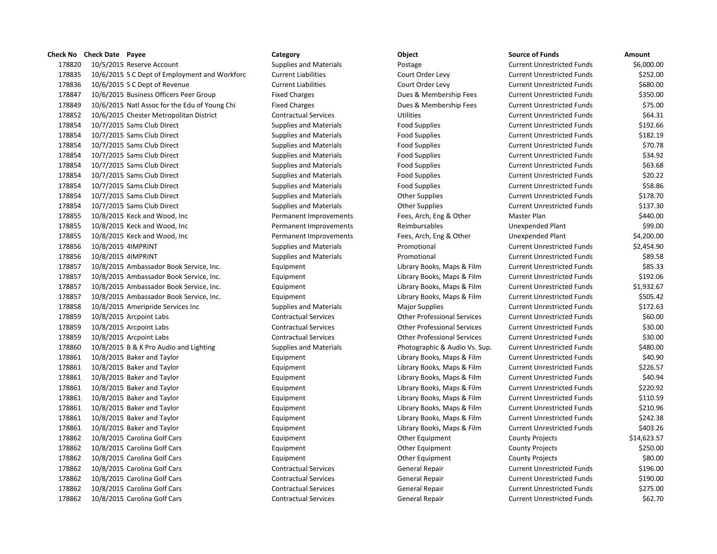10/5/2015 Reserve Account Supplies and Materials Postage Current Unrestricted Funds \$6,000.00 10/6/2015 S C Dept of Employment and Workforc Current Liabilities Court Order Levy Current Unrestricted Funds \$252.00 10/6/2015 S C Dept of Revenue Current Liabilities Court Order Levy Current Unrestricted Funds \$680.00 10/6/2015 Business Officers Peer Group Fixed Charges Dues & Membership Fees Current Unrestricted Funds \$350.00 178849 10/6/2015 Natl Assoc for the Edu of Young Chi Fixed Charges Dues & Membership Fees Current Unrestricted Funds \$75.00 10/6/2015 Chester Metropolitan District Contractual Services Utilities Current Unrestricted Funds \$64.31 10/7/2015 Sams Club Direct Supplies and Materials Food Supplies Current Unrestricted Funds \$192.66 10/7/2015 Sams Club Direct Supplies and Materials Food Supplies Current Unrestricted Funds \$182.19 10/7/2015 Sams Club Direct Supplies and Materials Food Supplies Current Unrestricted Funds \$70.78 10/7/2015 Sams Club Direct Supplies and Materials Food Supplies Current Unrestricted Funds \$34.92 10/7/2015 Sams Club Direct Supplies and Materials Food Supplies Current Unrestricted Funds \$63.68 10/7/2015 Sams Club Direct Supplies and Materials Food Supplies Current Unrestricted Funds \$20.22 178854 10/7/2015 Sams Club Direct Supplies and Materials Food Supplies Food Supplies Current Unrestricted Funds \$58.86 178854 10/7/2015 Sams Club Direct Supplies and Materials Current Unrestricted Funds Supplies 2018.70 178854 10/7/2015 Sams Club Direct Supplies and Materials Current Unrestricted Funds States States States States 10/8/2015 Keck and Wood, Inc Permanent Improvements Fees, Arch, Eng & Other Master Plan \$440.00 10/8/2015 Keck and Wood, Inc Permanent Improvements Reimbursables Unexpended Plant \$99.00 10/8/2015 Keck and Wood, Inc Permanent Improvements Fees, Arch, Eng & Other Unexpended Plant \$4,200.00 10/8/2015 4IMPRINT Supplies and Materials Promotional Current Unrestricted Funds \$2,454.90 10/8/2015 4IMPRINT Supplies and Materials Promotional Current Unrestricted Funds \$89.58 10/8/2015 Ambassador Book Service, Inc. Equipment Library Books, Maps & Film Current Unrestricted Funds \$85.33 10/8/2015 Ambassador Book Service, Inc. Equipment Library Books, Maps & Film Current Unrestricted Funds \$192.06 10/8/2015 Ambassador Book Service, Inc. Equipment Library Books, Maps & Film Current Unrestricted Funds \$1,932.67 10/8/2015 Ambassador Book Service, Inc. Equipment Library Books, Maps & Film Current Unrestricted Funds \$505.42 10/8/2015 Ameripride Services Inc Supplies and Materials Major Supplies Current Unrestricted Funds \$172.63 10/8/2015 Arcpoint Labs Contractual Services Other Professional Services Current Unrestricted Funds \$60.00 10/8/2015 Arcpoint Labs Contractual Services Other Professional Services Current Unrestricted Funds \$30.00 10/8/2015 Arcpoint Labs Contractual Services Other Professional Services Current Unrestricted Funds \$30.00 178860 10/8/2015 B & K Pro Audio and Lighting Supplies and Materials Photographic & Audio Vs. Sup. Current Unrestricted Funds \$480.00 10/8/2015 Baker and Taylor Equipment Library Books, Maps & Film Current Unrestricted Funds \$40.90 178861 10/8/2015 Baker and Taylor Carries Counter Equipment Library Books, Maps & Film Current Unrestricted Funds \$226.57 10/8/2015 Baker and Taylor Equipment Library Books, Maps & Film Current Unrestricted Funds \$40.94 10/8/2015 Baker and Taylor Equipment Library Books, Maps & Film Current Unrestricted Funds \$220.92 178861 10/8/2015 Baker and Taylor Carries And Taylor Equipment Library Books, Maps & Film Current Unrestricted Funds \$110.59 178861 10/8/2015 Baker and Taylor Carries And Taylor Equipment Library Books, Maps & Film Current Unrestricted Funds \$210.96 10/8/2015 Baker and Taylor Equipment Library Books, Maps & Film Current Unrestricted Funds \$242.38 178861 10/8/2015 Baker and Taylor Carries And Taylor Equipment Library Books, Maps & Film Current Unrestricted Funds \$403.26 178862 10/8/2015 Carolina Golf Cars **Equipment** Equipment Other Equipment County Projects \$14,623.57 10/8/2015 Carolina Golf Cars Equipment Other Equipment County Projects \$250.00 10/8/2015 Carolina Golf Cars Equipment Other Equipment County Projects \$80.00 10/8/2015 Carolina Golf Cars Contractual Services General Repair Current Unrestricted Funds \$196.00 10/8/2015 Carolina Golf Cars Contractual Services General Repair Current Unrestricted Funds \$190.00 10/8/2015 Carolina Golf Cars Contractual Services General Repair Current Unrestricted Funds \$275.00 10/8/2015 Carolina Golf Cars Contractual Services General Repair Current Unrestricted Funds \$62.70

**Check No Check Date Payee Category Object Source of Funds Amount**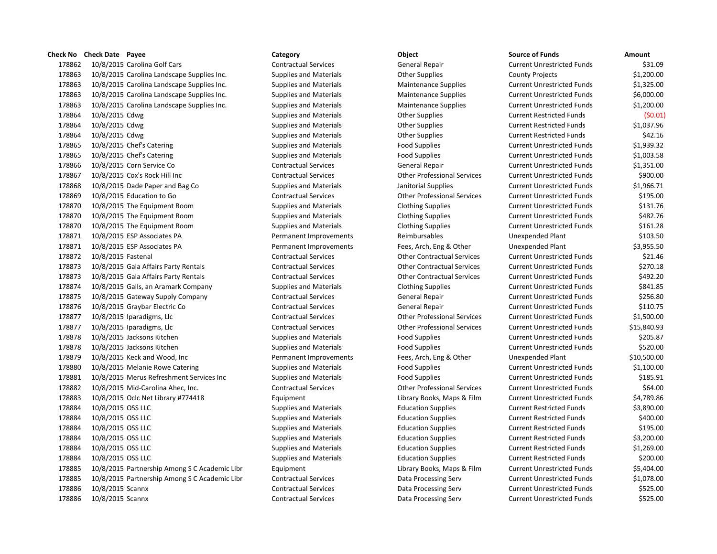# **Check No Check Date Payee Category Category Category Category Check No Check No Check Date Check Date Check Amount**

 10/8/2015 Carolina Golf Cars Contractual Services General Repair Current Unrestricted Funds \$31.09 10/8/2015 Carolina Landscape Supplies Inc. Supplies and Materials Other Supplies County Projects \$1,200.00 10/8/2015 Carolina Landscape Supplies Inc. Supplies and Materials Maintenance Supplies Current Unrestricted Funds \$1,325.00 10/8/2015 Carolina Landscape Supplies Inc. Supplies and Materials Maintenance Supplies Current Unrestricted Funds \$6,000.00 10/8/2015 Carolina Landscape Supplies Inc. Supplies and Materials Maintenance Supplies Current Unrestricted Funds \$1,200.00 178864 10/8/2015 Cdwg Supplies and Materials Current Restricted Funds (\$0.01) Current Restricted Funds (\$0.01) 178864 10/8/2015 Cdwg Supplies and Materials Current Restricted Funds 51,037.96 178864 10/8/2015 Cdwg Supplies and Materials Cher Supplies Current Restricted Funds \$42.16 10/8/2015 Chef's Catering Supplies and Materials Food Supplies Current Unrestricted Funds \$1,939.32 10/8/2015 Chef's Catering Supplies and Materials Food Supplies Current Unrestricted Funds \$1,003.58 10/8/2015 Corn Service Co Contractual Services General Repair Current Unrestricted Funds \$1,351.00 10/8/2015 Cox's Rock Hill Inc Contractual Services Other Professional Services Current Unrestricted Funds \$900.00 10/8/2015 Dade Paper and Bag Co Supplies and Materials Janitorial Supplies Current Unrestricted Funds \$1,966.71 10/8/2015 Education to Go Contractual Services Other Professional Services Current Unrestricted Funds \$195.00 10/8/2015 The Equipment Room Supplies and Materials Clothing Supplies Current Unrestricted Funds \$131.76 10/8/2015 The Equipment Room Supplies and Materials Clothing Supplies Current Unrestricted Funds \$482.76 10/8/2015 The Equipment Room Supplies and Materials Clothing Supplies Current Unrestricted Funds \$161.28 10/8/2015 ESP Associates PA Permanent Improvements Reimbursables Unexpended Plant \$103.50 10/8/2015 ESP Associates PA Permanent Improvements Fees, Arch, Eng & Other Unexpended Plant \$3,955.50 10/8/2015 Fastenal Contractual Services Other Contractual Services Current Unrestricted Funds \$21.46 10/8/2015 Gala Affairs Party Rentals Contractual Services Other Contractual Services Current Unrestricted Funds \$270.18 10/8/2015 Gala Affairs Party Rentals Contractual Services Other Contractual Services Current Unrestricted Funds \$492.20 10/8/2015 Galls, an Aramark Company Supplies and Materials Clothing Supplies Current Unrestricted Funds \$841.85 10/8/2015 Gateway Supply Company Contractual Services General Repair Current Unrestricted Funds \$256.80 10/8/2015 Graybar Electric Co Contractual Services General Repair Current Unrestricted Funds \$110.75 10/8/2015 Iparadigms, Llc Contractual Services Other Professional Services Current Unrestricted Funds \$1,500.00 10/8/2015 Iparadigms, Llc Contractual Services Other Professional Services Current Unrestricted Funds \$15,840.93 178878 10/8/2015 Jacksons Kitchen Supplies and Materials Food Supplies Food Supplies Current Unrestricted Funds \$205.87 10/8/2015 Jacksons Kitchen Supplies and Materials Food Supplies Current Unrestricted Funds \$520.00 10/8/2015 Keck and Wood, Inc Permanent Improvements Fees, Arch, Eng & Other Unexpended Plant \$10,500.00 10/8/2015 Melanie Rowe Catering Supplies and Materials Food Supplies Current Unrestricted Funds \$1,100.00 10/8/2015 Merus Refreshment Services Inc Supplies and Materials Food Supplies Current Unrestricted Funds \$185.91 10/8/2015 Mid-Carolina Ahec, Inc. Contractual Services Other Professional Services Current Unrestricted Funds \$64.00 10/8/2015 Oclc Net Library #774418 Equipment Library Books, Maps & Film Current Unrestricted Funds \$4,789.86 178884 10/8/2015 OSS LLC **Supplies and Materials Current Supplies Current Restricted Funds** \$3,890.00 10/8/2015 OSS LLC Supplies and Materials Education Supplies Current Restricted Funds \$400.00 178884 10/8/2015 OSS LLC **Supplies and Materials** Education Supplies Current Restricted Funds \$195.00 10/8/2015 OSS LLC Supplies and Materials Education Supplies Current Restricted Funds \$3,200.00 178884 10/8/2015 OSS LLC **Supplies and Materials Current Supplies Current Restricted Funds** \$1,269.00 178884 10/8/2015 OSS LLC **Supplies and Materials Current Supplies Current Restricted Funds** \$200.00 10/8/2015 Partnership Among S C Academic Libr Equipment Library Books, Maps & Film Current Unrestricted Funds \$5,404.00 10/8/2015 Partnership Among S C Academic Libr Contractual Services Data Processing Serv Current Unrestricted Funds \$1,078.00 10/8/2015 Scannx Contractual Services Data Processing Serv Current Unrestricted Funds \$525.00 10/8/2015 Scannx Contractual Services Data Processing Serv Current Unrestricted Funds \$525.00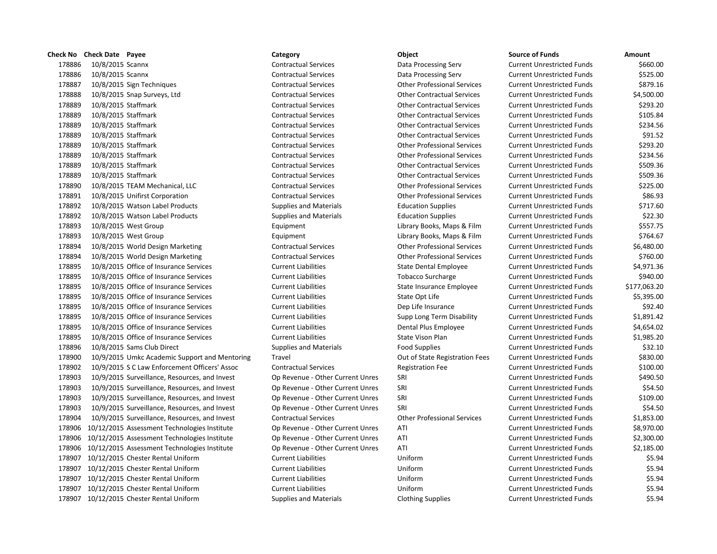|        | Check No Check Date Payee |                                                     | Category                         | Object                             | <b>Source of Funds</b>            | Amount   |
|--------|---------------------------|-----------------------------------------------------|----------------------------------|------------------------------------|-----------------------------------|----------|
| 178886 | 10/8/2015 Scannx          |                                                     | <b>Contractual Services</b>      | Data Processing Serv               | <b>Current Unrestricted Funds</b> | \$66     |
| 178886 | 10/8/2015 Scannx          |                                                     | <b>Contractual Services</b>      | Data Processing Serv               | <b>Current Unrestricted Funds</b> | \$52     |
| 178887 |                           | 10/8/2015 Sign Techniques                           | <b>Contractual Services</b>      | <b>Other Professional Services</b> | <b>Current Unrestricted Funds</b> | \$87     |
| 178888 |                           | 10/8/2015 Snap Surveys, Ltd                         | <b>Contractual Services</b>      | <b>Other Contractual Services</b>  | <b>Current Unrestricted Funds</b> | \$4,50   |
| 178889 | 10/8/2015 Staffmark       |                                                     | <b>Contractual Services</b>      | <b>Other Contractual Services</b>  | <b>Current Unrestricted Funds</b> | \$29     |
| 178889 | 10/8/2015 Staffmark       |                                                     | <b>Contractual Services</b>      | <b>Other Contractual Services</b>  | <b>Current Unrestricted Funds</b> | \$10     |
| 178889 | 10/8/2015 Staffmark       |                                                     | <b>Contractual Services</b>      | <b>Other Contractual Services</b>  | <b>Current Unrestricted Funds</b> | \$23     |
| 178889 | 10/8/2015 Staffmark       |                                                     | <b>Contractual Services</b>      | <b>Other Contractual Services</b>  | <b>Current Unrestricted Funds</b> | \$9      |
| 178889 | 10/8/2015 Staffmark       |                                                     | <b>Contractual Services</b>      | <b>Other Professional Services</b> | <b>Current Unrestricted Funds</b> | \$29     |
| 178889 | 10/8/2015 Staffmark       |                                                     | <b>Contractual Services</b>      | <b>Other Professional Services</b> | <b>Current Unrestricted Funds</b> | \$23     |
| 178889 | 10/8/2015 Staffmark       |                                                     | <b>Contractual Services</b>      | <b>Other Contractual Services</b>  | <b>Current Unrestricted Funds</b> | \$50     |
| 178889 | 10/8/2015 Staffmark       |                                                     | <b>Contractual Services</b>      | <b>Other Contractual Services</b>  | <b>Current Unrestricted Funds</b> | \$50     |
| 178890 |                           | 10/8/2015 TEAM Mechanical, LLC                      | <b>Contractual Services</b>      | <b>Other Professional Services</b> | <b>Current Unrestricted Funds</b> | \$22     |
| 178891 |                           | 10/8/2015 Unifirst Corporation                      | <b>Contractual Services</b>      | <b>Other Professional Services</b> | <b>Current Unrestricted Funds</b> | \$8      |
| 178892 |                           | 10/8/2015 Watson Label Products                     | <b>Supplies and Materials</b>    | <b>Education Supplies</b>          | <b>Current Unrestricted Funds</b> | \$71     |
| 178892 |                           | 10/8/2015 Watson Label Products                     | <b>Supplies and Materials</b>    | <b>Education Supplies</b>          | <b>Current Unrestricted Funds</b> | \$2      |
| 178893 | 10/8/2015 West Group      |                                                     | Equipment                        | Library Books, Maps & Film         | <b>Current Unrestricted Funds</b> | \$55     |
| 178893 | 10/8/2015 West Group      |                                                     | Equipment                        | Library Books, Maps & Film         | <b>Current Unrestricted Funds</b> | \$76     |
| 178894 |                           | 10/8/2015 World Design Marketing                    | <b>Contractual Services</b>      | <b>Other Professional Services</b> | <b>Current Unrestricted Funds</b> | \$6,48   |
| 178894 |                           | 10/8/2015 World Design Marketing                    | <b>Contractual Services</b>      | <b>Other Professional Services</b> | <b>Current Unrestricted Funds</b> | \$76     |
| 178895 |                           | 10/8/2015 Office of Insurance Services              | <b>Current Liabilities</b>       | <b>State Dental Employee</b>       | <b>Current Unrestricted Funds</b> | \$4,97   |
| 178895 |                           | 10/8/2015 Office of Insurance Services              | <b>Current Liabilities</b>       | <b>Tobacco Surcharge</b>           | <b>Current Unrestricted Funds</b> | \$94     |
| 178895 |                           | 10/8/2015 Office of Insurance Services              | <b>Current Liabilities</b>       | State Insurance Employee           | <b>Current Unrestricted Funds</b> | \$177,06 |
| 178895 |                           | 10/8/2015 Office of Insurance Services              | <b>Current Liabilities</b>       | State Opt Life                     | <b>Current Unrestricted Funds</b> | \$5,39   |
| 178895 |                           | 10/8/2015 Office of Insurance Services              | <b>Current Liabilities</b>       | Dep Life Insurance                 | <b>Current Unrestricted Funds</b> | \$9      |
| 178895 |                           | 10/8/2015 Office of Insurance Services              | <b>Current Liabilities</b>       | Supp Long Term Disability          | <b>Current Unrestricted Funds</b> | \$1,89   |
| 178895 |                           | 10/8/2015 Office of Insurance Services              | <b>Current Liabilities</b>       | Dental Plus Employee               | <b>Current Unrestricted Funds</b> | \$4,65   |
| 178895 |                           | 10/8/2015 Office of Insurance Services              | <b>Current Liabilities</b>       | State Vison Plan                   | <b>Current Unrestricted Funds</b> | \$1,98   |
| 178896 |                           | 10/8/2015 Sams Club Direct                          | <b>Supplies and Materials</b>    | <b>Food Supplies</b>               | <b>Current Unrestricted Funds</b> | \$3      |
| 178900 |                           | 10/9/2015 Umkc Academic Support and Mentoring       | Travel                           | Out of State Registration Fees     | <b>Current Unrestricted Funds</b> | \$83     |
| 178902 |                           | 10/9/2015 S C Law Enforcement Officers' Assoc       | <b>Contractual Services</b>      | <b>Registration Fee</b>            | <b>Current Unrestricted Funds</b> | \$10     |
| 178903 |                           | 10/9/2015 Surveillance, Resources, and Invest       | Op Revenue - Other Current Unres | SRI                                | <b>Current Unrestricted Funds</b> | \$49     |
| 178903 |                           | 10/9/2015 Surveillance, Resources, and Invest       | Op Revenue - Other Current Unres | SRI                                | <b>Current Unrestricted Funds</b> | \$5      |
| 178903 |                           | 10/9/2015 Surveillance, Resources, and Invest       | Op Revenue - Other Current Unres | SRI                                | <b>Current Unrestricted Funds</b> | \$10     |
| 178903 |                           | 10/9/2015 Surveillance, Resources, and Invest       | Op Revenue - Other Current Unres | SRI                                | <b>Current Unrestricted Funds</b> | \$5      |
| 178904 |                           | 10/9/2015 Surveillance, Resources, and Invest       | <b>Contractual Services</b>      | <b>Other Professional Services</b> | <b>Current Unrestricted Funds</b> | \$1,85   |
| 178906 |                           | 10/12/2015 Assessment Technologies Institute        | Op Revenue - Other Current Unres | ATI                                | <b>Current Unrestricted Funds</b> | \$8,97   |
| 178906 |                           | 10/12/2015 Assessment Technologies Institute        | Op Revenue - Other Current Unres | ATI                                | <b>Current Unrestricted Funds</b> | \$2,30   |
|        |                           | 178906 10/12/2015 Assessment Technologies Institute | Op Revenue - Other Current Unres | ATI                                | <b>Current Unrestricted Funds</b> | \$2,18   |
|        |                           | 178907 10/12/2015 Chester Rental Uniform            | <b>Current Liabilities</b>       | Uniform                            | <b>Current Unrestricted Funds</b> |          |
|        |                           | 178907 10/12/2015 Chester Rental Uniform            | <b>Current Liabilities</b>       | Uniform                            | <b>Current Unrestricted Funds</b> |          |
|        |                           | 178907 10/12/2015 Chester Rental Uniform            | <b>Current Liabilities</b>       | Uniform                            | <b>Current Unrestricted Funds</b> |          |
|        |                           | 178907 10/12/2015 Chester Rental Uniform            | <b>Current Liabilities</b>       | Uniform                            | <b>Current Unrestricted Funds</b> |          |
|        |                           | 178907 10/12/2015 Chester Rental Uniform            | <b>Supplies and Materials</b>    | <b>Clothing Supplies</b>           | <b>Current Unrestricted Funds</b> |          |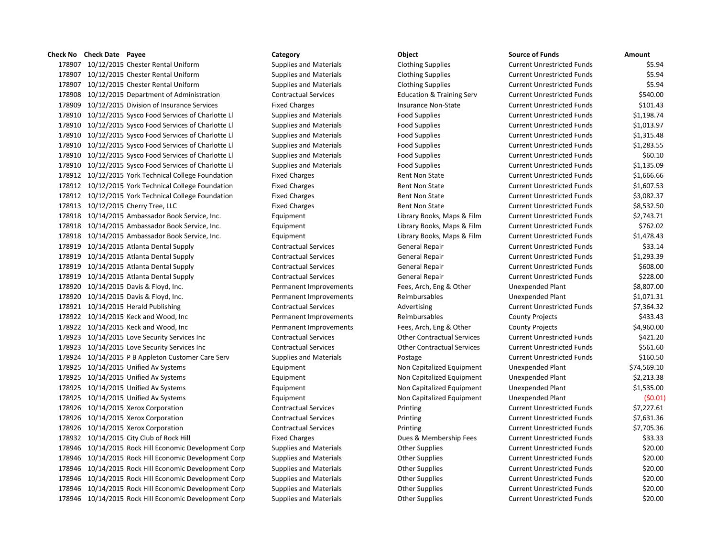## **Check No Check Date Payee Category Object Source of Funds Amount**

 10/12/2015 Chester Rental Uniform Supplies and Materials Clothing Supplies Current Unrestricted Funds \$5.94 10/12/2015 Chester Rental Uniform Supplies and Materials Clothing Supplies Current Unrestricted Funds \$5.94 10/12/2015 Chester Rental Uniform Supplies and Materials Clothing Supplies Current Unrestricted Funds \$5.94 10/12/2015 Department of Administration Contractual Services Education & Training Serv Current Unrestricted Funds \$540.00 10/12/2015 Division of Insurance Services Fixed Charges Insurance Non-State Current Unrestricted Funds \$101.43 10/12/2015 Sysco Food Services of Charlotte Ll Supplies and Materials Food Supplies Current Unrestricted Funds \$1,198.74 10/12/2015 Sysco Food Services of Charlotte Ll Supplies and Materials Food Supplies Current Unrestricted Funds \$1,013.97 10/12/2015 Sysco Food Services of Charlotte Ll Supplies and Materials Food Supplies Current Unrestricted Funds \$1,315.48 10/12/2015 Sysco Food Services of Charlotte Ll Supplies and Materials Food Supplies Current Unrestricted Funds \$1,283.55 10/12/2015 Sysco Food Services of Charlotte Ll Supplies and Materials Food Supplies Current Unrestricted Funds \$60.10 10/12/2015 Sysco Food Services of Charlotte Ll Supplies and Materials Food Supplies Current Unrestricted Funds \$1,135.09 178912 10/12/2015 York Technical College Foundation Fixed Charges Rent Non State Current Unrestricted Funds \$1,666.66 178912 10/12/2015 York Technical College Foundation Fixed Charges Rent Non State Current Unrestricted Funds \$1,607.53 178912 10/12/2015 York Technical College Foundation Fixed Charges Rent Non State Current Unrestricted Funds \$3,082.37 178913 10/12/2015 Cherry Tree, LLC **Fixed Charges** Fixed Charges Rent Non State Current Unrestricted Funds \$8,532.50 10/14/2015 Ambassador Book Service, Inc. Equipment Library Books, Maps & Film Current Unrestricted Funds \$2,743.71 10/14/2015 Ambassador Book Service, Inc. Equipment Library Books, Maps & Film Current Unrestricted Funds \$762.02 10/14/2015 Ambassador Book Service, Inc. Equipment Library Books, Maps & Film Current Unrestricted Funds \$1,478.43 10/14/2015 Atlanta Dental Supply Contractual Services General Repair Current Unrestricted Funds \$33.14 10/14/2015 Atlanta Dental Supply Contractual Services General Repair Current Unrestricted Funds \$1,293.39 10/14/2015 Atlanta Dental Supply Contractual Services General Repair Current Unrestricted Funds \$608.00 10/14/2015 Atlanta Dental Supply Contractual Services General Repair Current Unrestricted Funds \$228.00 10/14/2015 Davis & Floyd, Inc. Permanent Improvements Fees, Arch, Eng & Other Unexpended Plant \$8,807.00 10/14/2015 Davis & Floyd, Inc. Permanent Improvements Reimbursables Unexpended Plant \$1,071.31 178921 10/14/2015 Herald Publishing Contractual Services Advertising Current Unrestricted Funds \$7,364.32 10/14/2015 Keck and Wood, Inc Permanent Improvements Reimbursables County Projects \$433.43 10/14/2015 Keck and Wood, Inc Permanent Improvements Fees, Arch, Eng & Other County Projects \$4,960.00 10/14/2015 Love Security Services Inc Contractual Services Other Contractual Services Current Unrestricted Funds \$421.20 10/14/2015 Love Security Services Inc Contractual Services Other Contractual Services Current Unrestricted Funds \$561.60 10/14/2015 P B Appleton Customer Care Serv Supplies and Materials Postage Current Unrestricted Funds \$160.50 10/14/2015 Unified Av Systems Equipment Non Capitalized Equipment Unexpended Plant \$74,569.10 10/14/2015 Unified Av Systems Equipment Non Capitalized Equipment Unexpended Plant \$2,213.38 10/14/2015 Unified Av Systems Equipment Non Capitalized Equipment Unexpended Plant \$1,535.00 10/14/2015 Unified Av Systems Equipment Non Capitalized Equipment Unexpended Plant (\$0.01) 10/14/2015 Xerox Corporation Contractual Services Printing Current Unrestricted Funds \$7,227.61 10/14/2015 Xerox Corporation Contractual Services Printing Current Unrestricted Funds \$7,631.36 10/14/2015 Xerox Corporation Contractual Services Printing Current Unrestricted Funds \$7,705.36 178932 10/14/2015 City Club of Rock Hill **Fixed Charges** Fixed Charges Dues & Membership Fees Current Unrestricted Funds \$33.33 10/14/2015 Rock Hill Economic Development Corp Supplies and Materials Other Supplies Current Unrestricted Funds \$20.00 10/14/2015 Rock Hill Economic Development Corp Supplies and Materials Other Supplies Current Unrestricted Funds \$20.00 10/14/2015 Rock Hill Economic Development Corp Supplies and Materials Other Supplies Current Unrestricted Funds \$20.00 10/14/2015 Rock Hill Economic Development Corp Supplies and Materials Other Supplies Current Unrestricted Funds \$20.00 10/14/2015 Rock Hill Economic Development Corp Supplies and Materials Other Supplies Current Unrestricted Funds \$20.00 10/14/2015 Rock Hill Economic Development Corp Supplies and Materials Other Supplies Current Unrestricted Funds \$20.00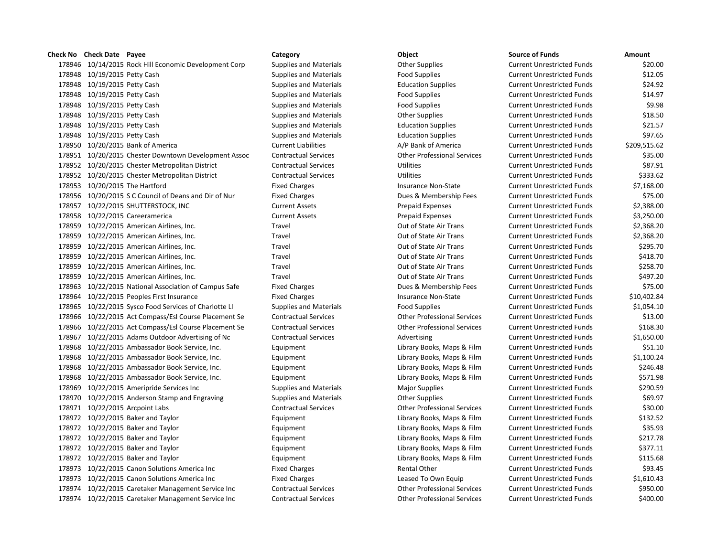178946 10/14/2015 Rock Hill Economic Development Corp Supplies and Materials Other Supplies Current Unrestricted Funds \$20.00 178948 10/19/2015 Petty Cash Supplies and Materials Food Supplies Current Unrestricted Funds \$12.05 178948 10/19/2015 Petty Cash Supplies and Materials Education Supplies Current Unrestricted Funds \$24.92 178948 10/19/2015 Petty Cash Supplies and Materials Food Supplies Current Unrestricted Funds \$14.97 178948 10/19/2015 Petty Cash Supplies and Materials Food Supplies Current Unrestricted Funds \$9.98 178948 10/19/2015 Petty Cash Supplies and Materials Current Unrestricted Funds States States States and Materials Current Unrestricted Funds States States States States States States States and Materials Current Unrestrict 178948 10/19/2015 Petty Cash Supplies and Materials Education Supplies Current Unrestricted Funds \$21.57 178948 10/19/2015 Petty Cash Supplies and Materials Education Supplies Current Unrestricted Funds \$97.65 178950 10/20/2015 Bank of America **Current Liabilities** Current Liabilities A/P Bank of America Current Unrestricted Funds \$209,515.62 178951 10/20/2015 Chester Downtown Development Assoc Contractual Services Other Professional Services Current Unrestricted Funds \$35.00 178952 10/20/2015 Chester Metropolitan District Contractual Services Utilities Current Unrestricted Funds \$87.91 178952 10/20/2015 Chester Metropolitan District Contractual Services Utilities Current Unrestricted Funds \$333.62 178953 10/20/2015 The Hartford Fixed Charges Insurance Non-State Current Unrestricted Funds \$7,168.00 178956 10/20/2015 S C Council of Deans and Dir of Nur Fixed Charges Dues & Membership Fees Current Unrestricted Funds \$75.00 178957 10/22/2015 SHUTTERSTOCK, INC Current Assets Prepaid Expenses Current Unrestricted Funds \$2,388.00 178958 10/22/2015 Careeramerica Current Assets Prepaid Expenses Current Unrestricted Funds \$3,250.00 178959 10/22/2015 American Airlines, Inc. The Case of Travel Current Unrestricted Funds and the S2.368.20 10/22 178959 10/22/2015 American Airlines, Inc. The Case of Travel Current Unrestricted Funds and the S2.368.20 16.2015 S2.368.20 178959 10/22/2015 American Airlines, Inc. Travel Travel Current Current Unrestricted Funds \$295.70 178959 10/22/2015 American Airlines, Inc. Travel Travel Current Current Unrestricted Funds 5418.70 178959 10/22/2015 American Airlines, Inc. Travel Travel Current Current Unrestricted Funds \$258.70 178959 10/22/2015 American Airlines, Inc. The Case of Travel Current Unrestricted Funds and Support of State Air Trans Current Unrestricted Funds \$497.20 178963 10/22/2015 National Association of Campus Safe Fixed Charges Dues & Membership Fees Current Unrestricted Funds \$75.00 178964 10/22/2015 Peoples First Insurance Fixed Charges Fixed Charges Insurance Non-State Current Unrestricted Funds \$10,402.84 178965 10/22/2015 Sysco Food Services of Charlotte Ll Supplies and Materials Food Supplies Current Unrestricted Funds \$1,054.10 178966 10/22/2015 Act Compass/Esl Course Placement Se Contractual Services Other Professional Services Current Unrestricted Funds \$13.00 178966 10/22/2015 Act Compass/Esl Course Placement Se Contractual Services Other Professional Services Current Unrestricted Funds \$168.30 178967 10/22/2015 Adams Outdoor Advertising of Nc Contractual Services Advertising Current Unrestricted Funds \$1,650.00 178968 10/22/2015 Ambassador Book Service, Inc. Equipment Library Books, Maps & Film Current Unrestricted Funds \$51.10 178968 10/22/2015 Ambassador Book Service, Inc. Equipment Library Books, Maps & Film Current Unrestricted Funds \$1,100.24 178968 10/22/2015 Ambassador Book Service, Inc. Equipment Library Books, Maps & Film Current Unrestricted Funds \$246.48 178968 10/22/2015 Ambassador Book Service, Inc. Equipment Library Books, Maps & Film Current Unrestricted Funds \$571.98 178969 10/22/2015 Ameripride Services Inc Supplies and Materials Major Supplies Magior Supplies Current Unrestricted Funds \$290.59 178970 10/22/2015 Anderson Stamp and Engraving Supplies and Materials Other Supplies Current Unrestricted Funds \$69.97 178971 10/22/2015 Arcpoint Labs Contractual Services Other Professional Services Current Unrestricted Funds \$30.00 178972 10/22/2015 Baker and Taylor Chronic Library Books, Maps & Film Current Unrestricted Funds \$132.52 178972 10/22/2015 Baker and Taylor Carries And Taylor Equipment Library Books, Maps & Film Current Unrestricted Funds \$35.93 178972 10/22/2015 Baker and Taylor Equipment Library Books, Maps & Film Current Unrestricted Funds \$217.78 178972 10/22/2015 Baker and Taylor Carries Counter Equipment Library Books, Maps & Film Current Unrestricted Funds \$377.11 178972 10/22/2015 Baker and Taylor Chronic Equipment Equipment Library Books, Maps & Film Current Unrestricted Funds \$115.68 178973 10/22/2015 Canon Solutions America Inc Fixed Charges Fixed Charges Rental Other Current Unrestricted Funds \$93.45 178973 10/22/2015 Canon Solutions America Inc Fixed Charges Leased To Own Equip Current Unrestricted Funds \$1,610.43 178974 10/22/2015 Caretaker Management Service Inc Contractual Services Other Professional Services Current Unrestricted Funds \$950.00 178974 10/22/2015 Caretaker Management Service Inc Contractual Services Other Professional Services Current Unrestricted Funds \$400.00

**Check No Check Date Payee Category Object Source of Funds Amount**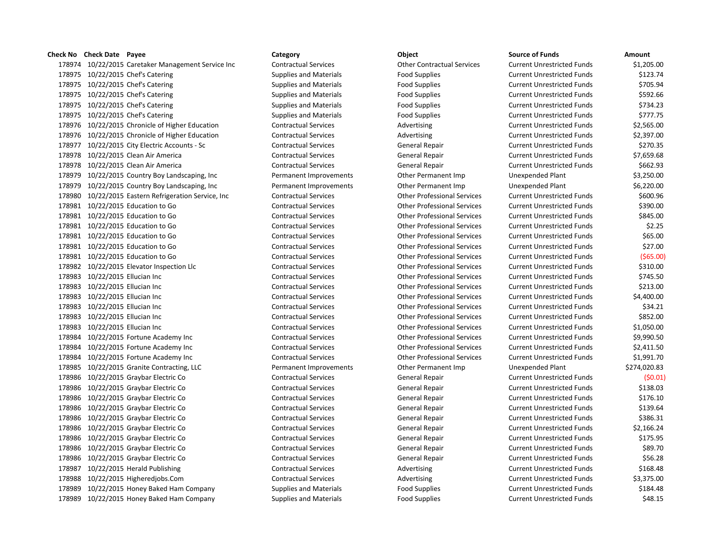10/22/2015 Caretaker Management Service Inc Contractual Services Other Contractual Services Current Unrestricted Funds \$1,205.00 178975 10/22/2015 Chef's Catering The Supplies and Materials Food Supplies Food Supplies Current Unrestricted Funds \$123.74 178975 10/22/2015 Chef's Catering The Supplies and Materials Food Supplies Food Supplies Current Unrestricted Funds \$705.94 178975 10/22/2015 Chef's Catering The Supplies and Materials Food Supplies Food Supplies Current Unrestricted Funds \$592.66 178975 10/22/2015 Chef's Catering The Supplies and Materials Food Supplies Food Supplies Current Unrestricted Funds \$734.23 178975 10/22/2015 Chef's Catering The Supplies and Materials Food Supplies Food Supplies Current Unrestricted Funds \$777.75 178976 10/22/2015 Chronicle of Higher Education Contractual Services Advertising Current Unrestricted Funds \$2,565.00 178976 10/22/2015 Chronicle of Higher Education Contractual Services Advertising Current Unrestricted Funds \$2,397.00 10/22/2015 City Electric Accounts - Sc Contractual Services General Repair Current Unrestricted Funds \$270.35 10/22/2015 Clean Air America Contractual Services General Repair Current Unrestricted Funds \$7,659.68 10/22/2015 Clean Air America Contractual Services General Repair Current Unrestricted Funds \$662.93 10/22/2015 Country Boy Landscaping, Inc Permanent Improvements Other Permanent Imp Unexpended Plant \$3,250.00 10/22/2015 Country Boy Landscaping, Inc Permanent Improvements Other Permanent Imp Unexpended Plant \$6,220.00 10/22/2015 Eastern Refrigeration Service, Inc Contractual Services Other Professional Services Current Unrestricted Funds \$600.96 10/22/2015 Education to Go Contractual Services Other Professional Services Current Unrestricted Funds \$390.00 10/22/2015 Education to Go Contractual Services Other Professional Services Current Unrestricted Funds \$845.00 10/22/2015 Education to Go Contractual Services Other Professional Services Current Unrestricted Funds \$2.25 10/22/2015 Education to Go Contractual Services Other Professional Services Current Unrestricted Funds \$65.00 10/22/2015 Education to Go Contractual Services Other Professional Services Current Unrestricted Funds \$27.00 10/22/2015 Education to Go Contractual Services Other Professional Services Current Unrestricted Funds (\$65.00) 10/22/2015 Elevator Inspection Llc Contractual Services Other Professional Services Current Unrestricted Funds \$310.00 10/22/2015 Ellucian Inc Contractual Services Other Professional Services Current Unrestricted Funds \$745.50 10/22/2015 Ellucian Inc Contractual Services Other Professional Services Current Unrestricted Funds \$213.00 10/22/2015 Ellucian Inc Contractual Services Other Professional Services Current Unrestricted Funds \$4,400.00 10/22/2015 Ellucian Inc Contractual Services Other Professional Services Current Unrestricted Funds \$34.21 10/22/2015 Ellucian Inc Contractual Services Other Professional Services Current Unrestricted Funds \$852.00 10/22/2015 Ellucian Inc Contractual Services Other Professional Services Current Unrestricted Funds \$1,050.00 10/22/2015 Fortune Academy Inc Contractual Services Other Professional Services Current Unrestricted Funds \$9,990.50 10/22/2015 Fortune Academy Inc Contractual Services Other Professional Services Current Unrestricted Funds \$2,411.50 10/22/2015 Fortune Academy Inc Contractual Services Other Professional Services Current Unrestricted Funds \$1,991.70 10/22/2015 Granite Contracting, LLC Permanent Improvements Other Permanent Imp Unexpended Plant \$274,020.83 10/22/2015 Graybar Electric Co Contractual Services General Repair Current Unrestricted Funds (\$0.01) 10/22/2015 Graybar Electric Co Contractual Services General Repair Current Unrestricted Funds \$138.03 10/22/2015 Graybar Electric Co Contractual Services General Repair Current Unrestricted Funds \$176.10 10/22/2015 Graybar Electric Co Contractual Services General Repair Current Unrestricted Funds \$139.64 178986 10/22/2015 Graybar Electric Co Contractual Services General Repair Current Unrestricted Funds \$386.31 10/22/2015 Graybar Electric Co Contractual Services General Repair Current Unrestricted Funds \$2,166.24 178986 10/22/2015 Graybar Electric Co Contractual Services General Repair Current Unrestricted Funds \$175.95 10/22/2015 Graybar Electric Co Contractual Services General Repair Current Unrestricted Funds \$89.70 10/22/2015 Graybar Electric Co Contractual Services General Repair Current Unrestricted Funds \$56.28 178987 10/22/2015 Herald Publishing Contractual Services Advertising Current Unrestricted Funds \$168.48 178988 10/22/2015 Higheredjobs.Com Contractual Services Advertising Current Unrestricted Funds \$3,375.00 10/22/2015 Honey Baked Ham Company Supplies and Materials Food Supplies Current Unrestricted Funds \$184.48 10/22/2015 Honey Baked Ham Company Supplies and Materials Food Supplies Current Unrestricted Funds \$48.15

# **Check No Check Date Payee Category Object Source of Funds Amount**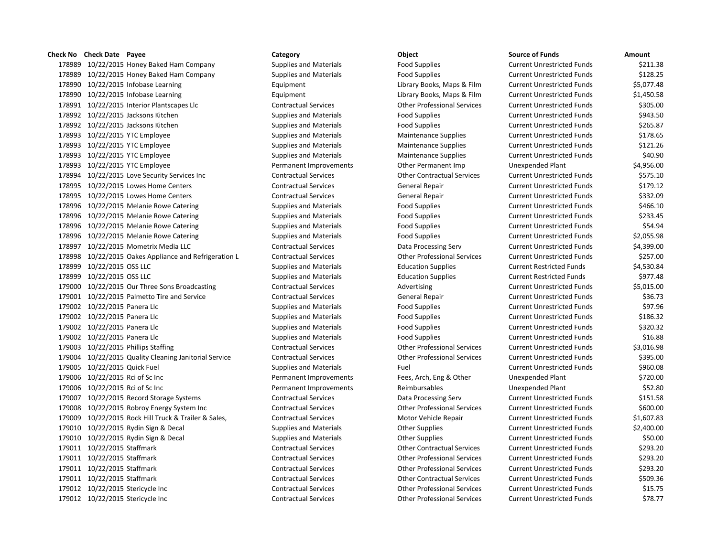# **Check No Check Date Payee Category Category Category Check No Check Date Constant Constant Constant Constant Constant Constant Constant Constant Constant Constant Constant Constant Constant Constant Consta**

178989 10/22/2015 Honey Baked Ham Company Supplies and Materials Food Supplies Food Supplies 178989 10/22/2015 Honey Baked Ham Company Supplies and Materials Food Supplies Food Supplies 178990 10/22/2015 Infobase Learning The Equipment Library Books, Maps & Film Current Current Current Equipment 178990 10/22/2015 Infobase Learning The Equipment Library Books, Maps & Film Current Current Library Books, Maps & Film 178991 10/22/2015 Interior Plantscapes Llc Contractual Services Current University Other Professional Services Cu 178992 10/22/2015 Jacksons Kitchen Supplies and Materials Food Supplies Food Supplies Current Current Current Cu 178992 10/22/2015 Jacksons Kitchen Supplies and Materials Food Supplies Food Supplies Cu 178993 10/22/2015 YTC Employee Supplies and Materials Maintenance Supplies Supplies Current Current Current Cu 178993 10/22/2015 YTC Employee Supplies and Materials Maintenance Supplies Supplies Current Current Current Cu 178993 10/22/2015 YTC Employee Supplies and Materials Maintenance Supplies Supplies Current Current Current Cu 178993 10/22/2015 YTC Employee **Permanent Improvements** Other Permanent Imp Uncomputer Section American Section A 178994 10/22/2015 Love Security Services Inc Contractual Services Current Contractual Services Current Current Cu 178995 10/22/2015 Lowes Home Centers Current Contractual Services General Repair Current Current Cu 178995 10/22/2015 Lowes Home Centers Current Current Contractual Services General Repair Current Unrestricted Funds \$3 178996 10/22/2015 Melanie Rowe Catering Supplies and Materials Food Supplies Food Supplies Cu 178996 10/22/2015 Melanie Rowe Catering Supplies and Materials Food Supplies Food Supplies Current Cu 178996 10/22/2015 Melanie Rowe Catering Supplies and Materials Food Supplies Food Supplies Current Cu 178996 10/22/2015 Melanie Rowe Catering Supplies and Materials Food Supplies **Food Supplies** Current Current Curre 178997 10/22/2015 Mometrix Media LLC Contractual Services Data Processing Serv Current Current Current Current Cu 178998 10/22/2015 Oakes Appliance and Refrigeration L Contractual Services Other Professional Services Cu 178999 10/22/2015 OSS LLC **Supplies and Materials** Education Supplies **Current Restricted Funds & 4,530.84** Cu 178999 10/22/2015 OSS LLC Supplies and Materials Education Supplies Current Restricted Funds \$977.48 179000 10/22/2015 Our Three Sons Broadcasting Current Contractual Services Advertising Current Current Current Cu 179001 10/22/2015 Palmetto Tire and Service Contractual Services General Repair Current Repair Current Current Cu 179002 10/22/2015 Panera Llc Supplies and Materials Food Supplies Food Supplies Cu 179002 10/22/2015 Panera Llc Supplies and Materials Food Supplies Food Supplies Current Unrestricted Funds \$186.32 179002 10/22/2015 Panera Llc Supplies and Materials Food Supplies **Food Supplies** Current Current Cu 179002 10/22/2015 Panera Llc Supplies and Materials Food Supplies **Food Supplies** Cu 179003 10/22/2015 Phillips Staffing Contractual Services Current Unrestricted Funds & Current Unrestricted Funds \$3,000 Contractual Services Current Unrestricted Funds \$3,000 Current Unrestricted Funds \$3,000 Current Punch 179004 10/22/2015 Quality Cleaning Janitorial Service Contractual Services Current Current Current Current Cu 179005 10/22/2015 Quick Fuel Supplies and Materials Fuel Fuel Fuel Current Current Current Current Cu 179006 10/22/2015 Rci of Sc Inc **Permanent Improvements** Fees, Arch, Eng & Other Unexpended Plant & Respendent & Respendent & Respectively. 179006 10/22/2015 Rci of Sc Inc No. 2010 10:00 Permanent Improvements Reimbursables Unexpendent St Inc. 2010 179007 10/22/2015 Record Storage Systems Contractual Services Data Processing Serv Cu 179008 10/22/2015 Robroy Energy System Inc Contractual Services Current Contractual Services Current Professional Services Cu 179009 10/22/2015 Rock Hill Truck & Trailer & Sales, Contractual Services Motor Vehicle Repair Current Current Cu 179010 10/22/2015 Rydin Sign & Decal Supplies and Materials Other Supplies Current Current Current Cu 179010 10/22/2015 Rydin Sign & Decal Supplies and Materials Other Supplies Current Current Current Cu 179011 10/22/2015 Staffmark Contractual Services Current Contractual Services Current Unrestricted Funds \$203.201 179011 10/22/2015 Staffmark Current Current Contractual Services Current University Other Professional Services Cu 179011 10/22/2015 Staffmark Contractual Services Current Contractual Services Current Current Current Current Cu 179011 10/22/2015 Staffmark Contractual Services Current Contractual Services Current University Contractual Services Cu 179012 10/22/2015 Stericycle Inc Contractual Services Current Contractual Services Current Unrestricted Funds \$15.75 179012 10/22/2015 Stericycle Inc Contractual Services Current Current Other Professional Services Cu

| ource of Funds            | Amount     |
|---------------------------|------------|
| urrent Unrestricted Funds | \$211.38   |
| urrent Unrestricted Funds | \$128.25   |
| urrent Unrestricted Funds | \$5,077.48 |
| urrent Unrestricted Funds | \$1,450.58 |
| urrent Unrestricted Funds | \$305.00   |
| urrent Unrestricted Funds | \$943.50   |
| urrent Unrestricted Funds | \$265.87   |
| urrent Unrestricted Funds | \$178.65   |
| urrent Unrestricted Funds | \$121.26   |
| urrent Unrestricted Funds | \$40.90    |
| nexpended Plant           | \$4,956.00 |
| urrent Unrestricted Funds | \$575.10   |
| urrent Unrestricted Funds | \$179.12   |
| urrent Unrestricted Funds | \$332.09   |
| urrent Unrestricted Funds | \$466.10   |
| urrent Unrestricted Funds | \$233.45   |
| urrent Unrestricted Funds | \$54.94    |
| urrent Unrestricted Funds | \$2,055.98 |
| urrent Unrestricted Funds | \$4,399.00 |
| urrent Unrestricted Funds | \$257.00   |
| urrent Restricted Funds   | \$4,530.84 |
| urrent Restricted Funds   | \$977.48   |
| urrent Unrestricted Funds | \$5,015.00 |
| urrent Unrestricted Funds | \$36.73    |
| urrent Unrestricted Funds | \$97.96    |
| urrent Unrestricted Funds | \$186.32   |
| urrent Unrestricted Funds | \$320.32   |
| urrent Unrestricted Funds | \$16.88    |
| urrent Unrestricted Funds | \$3,016.98 |
| urrent Unrestricted Funds | \$395.00   |
| urrent Unrestricted Funds | \$960.08   |
| nexpended Plant           | \$720.00   |
| nexpended Plant           | \$52.80    |
| urrent Unrestricted Funds | \$151.58   |
| urrent Unrestricted Funds | \$600.00   |
| urrent Unrestricted Funds | \$1,607.83 |
| urrent Unrestricted Funds | \$2,400.00 |
| urrent Unrestricted Funds | \$50.00    |
| urrent Unrestricted Funds | \$293.20   |
| urrent Unrestricted Funds | \$293.20   |
| urrent Unrestricted Funds | \$293.20   |
| urrent Unrestricted Funds | \$509.36   |
| urrent Unrestricted Funds | \$15.75    |
| urrent Unrestricted Funds | \$78.77    |
|                           |            |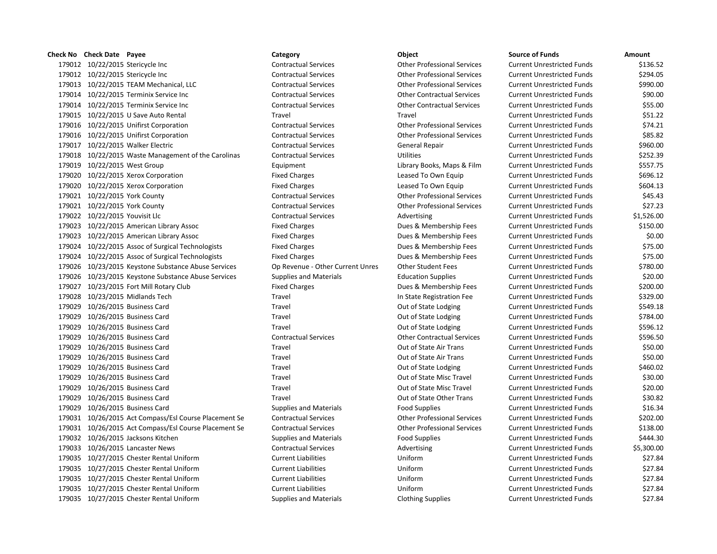# **Check No Check Date Payee Category Object Source of Funds Amount** 10/22/2015 Stericycle Inc Contractual Services Other Professional Services Current Unrestricted Funds \$136.52 10/22/2015 Stericycle Inc Contractual Services Other Professional Services Current Unrestricted Funds \$294.05 10/22/2015 TEAM Mechanical, LLC Contractual Services Other Professional Services Current Unrestricted Funds \$990.00 10/22/2015 Terminix Service Inc Contractual Services Other Contractual Services Current Unrestricted Funds \$90.00 10/22/2015 Terminix Service Inc Contractual Services Other Contractual Services Current Unrestricted Funds \$55.00 10/22/2015 U Save Auto Rental Travel Travel Current Unrestricted Funds \$51.22 10/22/2015 Unifirst Corporation Contractual Services Other Professional Services Current Unrestricted Funds \$74.21 10/22/2015 Unifirst Corporation Contractual Services Other Professional Services Current Unrestricted Funds \$85.82 10/22/2015 Walker Electric Contractual Services General Repair Current Unrestricted Funds \$960.00 10/22/2015 Waste Management of the Carolinas Contractual Services Utilities Current Unrestricted Funds \$252.39 10/22/2015 West Group Equipment Library Books, Maps & Film Current Unrestricted Funds \$557.75 10/22/2015 Xerox Corporation Fixed Charges Leased To Own Equip Current Unrestricted Funds \$696.12 10/22/2015 Xerox Corporation Fixed Charges Leased To Own Equip Current Unrestricted Funds \$604.13 10/22/2015 York County Contractual Services Other Professional Services Current Unrestricted Funds \$45.43 10/22/2015 York County Contractual Services Other Professional Services Current Unrestricted Funds \$27.23 179022 10/22/2015 Youvisit Llc **Contractual Services** Contractual Services Advertising Current Unrestricted Funds \$1,526.00 10/22/2015 American Library Assoc Fixed Charges Dues & Membership Fees Current Unrestricted Funds \$150.00 10/22/2015 American Library Assoc Fixed Charges Dues & Membership Fees Current Unrestricted Funds \$0.00 10/22/2015 Assoc of Surgical Technologists Fixed Charges Dues & Membership Fees Current Unrestricted Funds \$75.00 10/22/2015 Assoc of Surgical Technologists Fixed Charges Dues & Membership Fees Current Unrestricted Funds \$75.00 10/23/2015 Keystone Substance Abuse Services Op Revenue - Other Current Unres Other Student Fees Current Unrestricted Funds \$780.00 10/23/2015 Keystone Substance Abuse Services Supplies and Materials Education Supplies Current Unrestricted Funds \$20.00 10/23/2015 Fort Mill Rotary Club Fixed Charges Dues & Membership Fees Current Unrestricted Funds \$200.00 10/23/2015 Midlands Tech Travel In State Registration Fee Current Unrestricted Funds \$329.00 179029 10/26/2015 Business Card Travel Travel Travel Current Out of State Lodging Current Unrestricted Funds \$549.18 179029 10/26/2015 Business Card Travel Travel Travel Current Out of State Lodging Current Unrestricted Funds \$784.00 179029 10/26/2015 Business Card Travel Travel Travel Current Out of State Lodging Current Unrestricted Funds \$596.12 10/26/2015 Business Card Contractual Services Other Contractual Services Current Unrestricted Funds \$596.50 10/26/2015 Business Card Travel Out of State Air Trans Current Unrestricted Funds \$50.00 10/26/2015 Business Card Travel Out of State Air Trans Current Unrestricted Funds \$50.00 179029 10/26/2015 Business Card Travel Travel Travel Current Out of State Lodging Current Unrestricted Funds \$460.02 10/26/2015 Business Card Travel Out of State Misc Travel Current Unrestricted Funds \$30.00 10/26/2015 Business Card Travel Out of State Misc Travel Current Unrestricted Funds \$20.00 10/26/2015 Business Card Travel Out of State Other Trans Current Unrestricted Funds \$30.82 10/26/2015 Business Card Supplies and Materials Food Supplies Current Unrestricted Funds \$16.34 10/26/2015 Act Compass/Esl Course Placement Se Contractual Services Other Professional Services Current Unrestricted Funds \$202.00 10/26/2015 Act Compass/Esl Course Placement Se Contractual Services Other Professional Services Current Unrestricted Funds \$138.00 179032 10/26/2015 Jacksons Kitchen Supplies and Materials Food Supplies Food Supplies Current Unrestricted Funds \$444.30 179033 10/26/2015 Lancaster News **Contractual Services** Advertising Current Unrestricted Funds \$5,300.00 10/27/2015 Chester Rental Uniform Current Liabilities Uniform Current Unrestricted Funds \$27.84 10/27/2015 Chester Rental Uniform Current Liabilities Uniform Current Unrestricted Funds \$27.84 10/27/2015 Chester Rental Uniform Current Liabilities Uniform Current Unrestricted Funds \$27.84 10/27/2015 Chester Rental Uniform Current Liabilities Uniform Current Unrestricted Funds \$27.84 10/27/2015 Chester Rental Uniform Supplies and Materials Clothing Supplies Current Unrestricted Funds \$27.84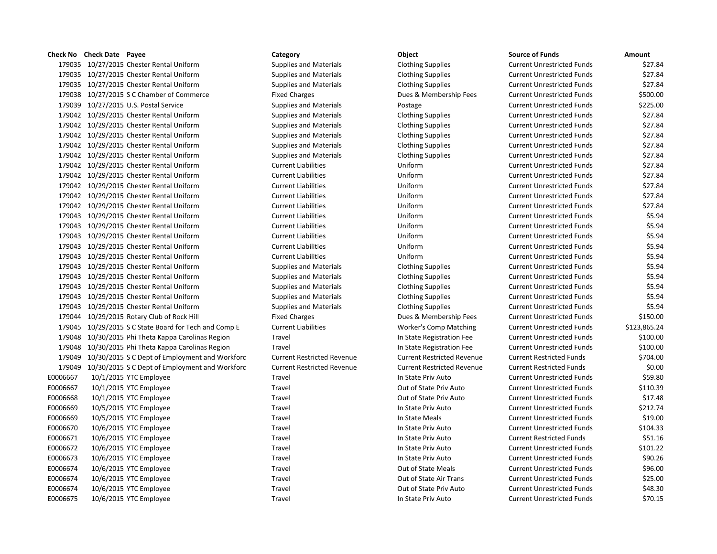10/27/2015 Chester Rental Uniform Supplies and Materials Clothing Supplies Current Unrestricted Funds \$27.84 10/27/2015 Chester Rental Uniform Supplies and Materials Clothing Supplies Current Unrestricted Funds \$27.84 10/27/2015 Chester Rental Uniform Supplies and Materials Clothing Supplies Current Unrestricted Funds \$27.84 179038 10/27/2015 S C Chamber of Commerce **Fixed Charges** Fixed Charges Dues & Membership Fees Current Unrestricted Funds \$500.00 179039 10/27/2015 U.S. Postal Service Supplies and Materials Postage Postage Current Unrestricted Funds \$225.00 10/29/2015 Chester Rental Uniform Supplies and Materials Clothing Supplies Current Unrestricted Funds \$27.84 10/29/2015 Chester Rental Uniform Supplies and Materials Clothing Supplies Current Unrestricted Funds \$27.84 10/29/2015 Chester Rental Uniform Supplies and Materials Clothing Supplies Current Unrestricted Funds \$27.84 10/29/2015 Chester Rental Uniform Supplies and Materials Clothing Supplies Current Unrestricted Funds \$27.84 10/29/2015 Chester Rental Uniform Supplies and Materials Clothing Supplies Current Unrestricted Funds \$27.84 10/29/2015 Chester Rental Uniform Current Liabilities Uniform Current Unrestricted Funds \$27.84 10/29/2015 Chester Rental Uniform Current Liabilities Uniform Current Unrestricted Funds \$27.84 10/29/2015 Chester Rental Uniform Current Liabilities Uniform Current Unrestricted Funds \$27.84 10/29/2015 Chester Rental Uniform Current Liabilities Uniform Current Unrestricted Funds \$27.84 10/29/2015 Chester Rental Uniform Current Liabilities Uniform Current Unrestricted Funds \$27.84 10/29/2015 Chester Rental Uniform Current Liabilities Uniform Current Unrestricted Funds \$5.94 10/29/2015 Chester Rental Uniform Current Liabilities Uniform Current Unrestricted Funds \$5.94 10/29/2015 Chester Rental Uniform Current Liabilities Uniform Current Unrestricted Funds \$5.94 10/29/2015 Chester Rental Uniform Current Liabilities Uniform Current Unrestricted Funds \$5.94 10/29/2015 Chester Rental Uniform Current Liabilities Uniform Current Unrestricted Funds \$5.94 10/29/2015 Chester Rental Uniform Supplies and Materials Clothing Supplies Current Unrestricted Funds \$5.94 10/29/2015 Chester Rental Uniform Supplies and Materials Clothing Supplies Current Unrestricted Funds \$5.94 10/29/2015 Chester Rental Uniform Supplies and Materials Clothing Supplies Current Unrestricted Funds \$5.94 10/29/2015 Chester Rental Uniform Supplies and Materials Clothing Supplies Current Unrestricted Funds \$5.94 10/29/2015 Chester Rental Uniform Supplies and Materials Clothing Supplies Current Unrestricted Funds \$5.94 10/29/2015 Rotary Club of Rock Hill Fixed Charges Dues & Membership Fees Current Unrestricted Funds \$150.00 10/29/2015 S C State Board for Tech and Comp E Current Liabilities Worker's Comp Matching Current Unrestricted Funds \$123,865.24 10/30/2015 Phi Theta Kappa Carolinas Region Travel In State Registration Fee Current Unrestricted Funds \$100.00 10/30/2015 Phi Theta Kappa Carolinas Region Travel In State Registration Fee Current Unrestricted Funds \$100.00 10/30/2015 S C Dept of Employment and Workforc Current Restricted Revenue Current Restricted Revenue Current Restricted Funds \$704.00 10/30/2015 S C Dept of Employment and Workforc Current Restricted Revenue Current Restricted Revenue Current Restricted Funds \$0.00 E0006667 10/1/2015 YTC Employee Travel Travel Travel Current Unrestricted Funds \$59.80 E0006667 10/1/2015 YTC Employee Travel Travel Travel Cut of State Priv Auto Current Unrestricted Funds \$110.39 E0006668 10/1/2015 YTC Employee Travel Travel Travel Cut of State Priv Auto Current Unrestricted Funds \$17.48 E0006669 10/5/2015 YTC Employee Travel Travel Travel Current Unrestricted Funds \$212.74 E0006669 10/5/2015 YTC Employee Travel Travel Travel Current Unrestricted Funds \$19.00 E0006670 10/6/2015 YTC Employee Travel Travel Travel Current Unrestricted Funds \$104.33 E0006671 10/6/2015 YTC Employee Travel Travel Travel In State Priv Auto Current Restricted Funds \$51.16 E0006672 10/6/2015 YTC Employee Travel Travel Travel Current Unrestricted Funds \$101.22 E0006673 10/6/2015 YTC Employee Travel In State Priv Auto Current Unrestricted Funds \$90.26 E0006674 10/6/2015 YTC Employee Travel Travel Travel Current Unrestricted Funds \$96.00 E0006674 10/6/2015 YTC Employee Travel Travel Travel Current Unrestricted Funds \$25.00 E0006674 10/6/2015 YTC Employee Travel Travel Travel Current Dut of State Priv Auto Current Unrestricted Funds \$48.30

# **Check No Check Date Payee Category Object Source of Funds Amount** E0006675 10/6/2015 YTC Employee Travel Travel Travel In State Priv Auto Current Unrestricted Funds \$70.15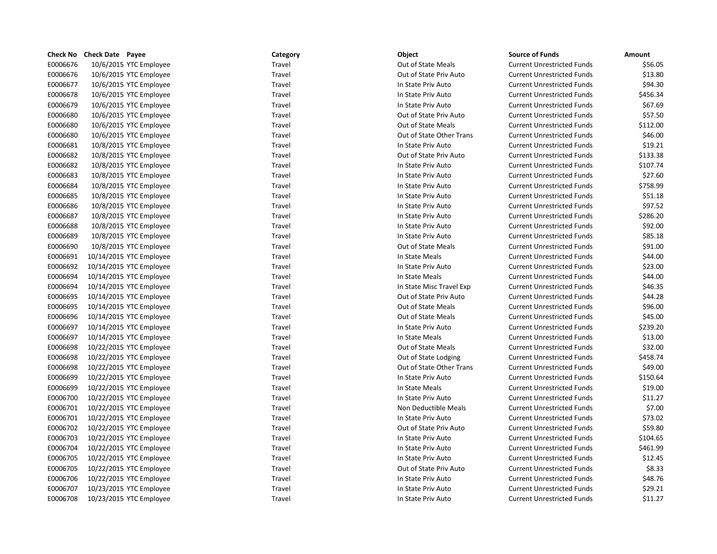|          | Check No Check Date Payee | Category | Object                   | <b>Source of Funds</b>            | Amount   |
|----------|---------------------------|----------|--------------------------|-----------------------------------|----------|
| E0006676 | 10/6/2015 YTC Employee    | Travel   | Out of State Meals       | <b>Current Unrestricted Funds</b> | \$56.05  |
| E0006676 | 10/6/2015 YTC Employee    | Travel   | Out of State Priv Auto   | <b>Current Unrestricted Funds</b> | \$13.80  |
| E0006677 | 10/6/2015 YTC Employee    | Travel   | In State Priv Auto       | <b>Current Unrestricted Funds</b> | \$94.30  |
| E0006678 | 10/6/2015 YTC Employee    | Travel   | In State Priv Auto       | <b>Current Unrestricted Funds</b> | \$456.34 |
| E0006679 | 10/6/2015 YTC Employee    | Travel   | In State Priv Auto       | <b>Current Unrestricted Funds</b> | \$67.69  |
| E0006680 | 10/6/2015 YTC Employee    | Travel   | Out of State Priv Auto   | <b>Current Unrestricted Funds</b> | \$57.50  |
| E0006680 | 10/6/2015 YTC Employee    | Travel   | Out of State Meals       | <b>Current Unrestricted Funds</b> | \$112.00 |
| E0006680 | 10/6/2015 YTC Employee    | Travel   | Out of State Other Trans | <b>Current Unrestricted Funds</b> | \$46.00  |
| E0006681 | 10/8/2015 YTC Employee    | Travel   | In State Priv Auto       | <b>Current Unrestricted Funds</b> | \$19.21  |
| E0006682 | 10/8/2015 YTC Employee    | Travel   | Out of State Priv Auto   | <b>Current Unrestricted Funds</b> | \$133.38 |
| E0006682 | 10/8/2015 YTC Employee    | Travel   | In State Priv Auto       | <b>Current Unrestricted Funds</b> | \$107.74 |
| E0006683 | 10/8/2015 YTC Employee    | Travel   | In State Priv Auto       | <b>Current Unrestricted Funds</b> | \$27.60  |
| E0006684 | 10/8/2015 YTC Employee    | Travel   | In State Priv Auto       | <b>Current Unrestricted Funds</b> | \$758.99 |
| E0006685 | 10/8/2015 YTC Employee    | Travel   | In State Priv Auto       | <b>Current Unrestricted Funds</b> | \$51.18  |
| E0006686 | 10/8/2015 YTC Employee    | Travel   | In State Priv Auto       | <b>Current Unrestricted Funds</b> | \$97.52  |
| E0006687 | 10/8/2015 YTC Employee    | Travel   | In State Priv Auto       | <b>Current Unrestricted Funds</b> | \$286.20 |
| E0006688 | 10/8/2015 YTC Employee    | Travel   | In State Priv Auto       | <b>Current Unrestricted Funds</b> | \$92.00  |
| E0006689 | 10/8/2015 YTC Employee    | Travel   | In State Priv Auto       | <b>Current Unrestricted Funds</b> | \$85.18  |
| E0006690 | 10/8/2015 YTC Employee    | Travel   | Out of State Meals       | <b>Current Unrestricted Funds</b> | \$91.00  |
| E0006691 | 10/14/2015 YTC Employee   | Travel   | In State Meals           | <b>Current Unrestricted Funds</b> | \$44.00  |
| E0006692 | 10/14/2015 YTC Employee   | Travel   | In State Priv Auto       | <b>Current Unrestricted Funds</b> | \$23.00  |
| E0006694 | 10/14/2015 YTC Employee   | Travel   | In State Meals           | <b>Current Unrestricted Funds</b> | \$44.00  |
| E0006694 | 10/14/2015 YTC Employee   | Travel   | In State Misc Travel Exp | <b>Current Unrestricted Funds</b> | \$46.35  |
| E0006695 | 10/14/2015 YTC Employee   | Travel   | Out of State Priv Auto   | <b>Current Unrestricted Funds</b> | \$44.28  |
| E0006695 | 10/14/2015 YTC Employee   | Travel   | Out of State Meals       | <b>Current Unrestricted Funds</b> | \$96.00  |
| E0006696 | 10/14/2015 YTC Employee   | Travel   | Out of State Meals       | <b>Current Unrestricted Funds</b> | \$45.00  |
| E0006697 | 10/14/2015 YTC Employee   | Travel   | In State Priv Auto       | <b>Current Unrestricted Funds</b> | \$239.20 |
| E0006697 | 10/14/2015 YTC Employee   | Travel   | In State Meals           | <b>Current Unrestricted Funds</b> | \$13.00  |
| E0006698 | 10/22/2015 YTC Employee   | Travel   | Out of State Meals       | <b>Current Unrestricted Funds</b> | \$32.00  |
| E0006698 | 10/22/2015 YTC Employee   | Travel   | Out of State Lodging     | <b>Current Unrestricted Funds</b> | \$458.74 |
| E0006698 | 10/22/2015 YTC Employee   | Travel   | Out of State Other Trans | <b>Current Unrestricted Funds</b> | \$49.00  |
| E0006699 | 10/22/2015 YTC Employee   | Travel   | In State Priv Auto       | <b>Current Unrestricted Funds</b> | \$150.64 |
| E0006699 | 10/22/2015 YTC Employee   | Travel   | In State Meals           | <b>Current Unrestricted Funds</b> | \$19.00  |
| E0006700 | 10/22/2015 YTC Employee   | Travel   | In State Priv Auto       | <b>Current Unrestricted Funds</b> | \$11.27  |
| E0006701 | 10/22/2015 YTC Employee   | Travel   | Non Deductible Meals     | <b>Current Unrestricted Funds</b> | \$7.00   |
| E0006701 | 10/22/2015 YTC Employee   | Travel   | In State Priv Auto       | <b>Current Unrestricted Funds</b> | \$73.02  |
| E0006702 | 10/22/2015 YTC Employee   | Travel   | Out of State Priv Auto   | <b>Current Unrestricted Funds</b> | \$59.80  |
| E0006703 | 10/22/2015 YTC Employee   | Travel   | In State Priv Auto       | <b>Current Unrestricted Funds</b> | \$104.65 |
| E0006704 | 10/22/2015 YTC Employee   | Travel   | In State Priv Auto       | <b>Current Unrestricted Funds</b> | \$461.99 |
| E0006705 | 10/22/2015 YTC Employee   | Travel   | In State Priv Auto       | <b>Current Unrestricted Funds</b> | \$12.45  |
| E0006705 | 10/22/2015 YTC Employee   | Travel   | Out of State Priv Auto   | <b>Current Unrestricted Funds</b> | \$8.33   |
| E0006706 | 10/22/2015 YTC Employee   | Travel   | In State Priv Auto       | <b>Current Unrestricted Funds</b> | \$48.76  |
| E0006707 | 10/23/2015 YTC Employee   | Travel   | In State Priv Auto       | <b>Current Unrestricted Funds</b> | \$29.21  |
| E0006708 | 10/23/2015 YTC Employee   | Travel   | In State Priv Auto       | <b>Current Unrestricted Funds</b> | \$11.27  |